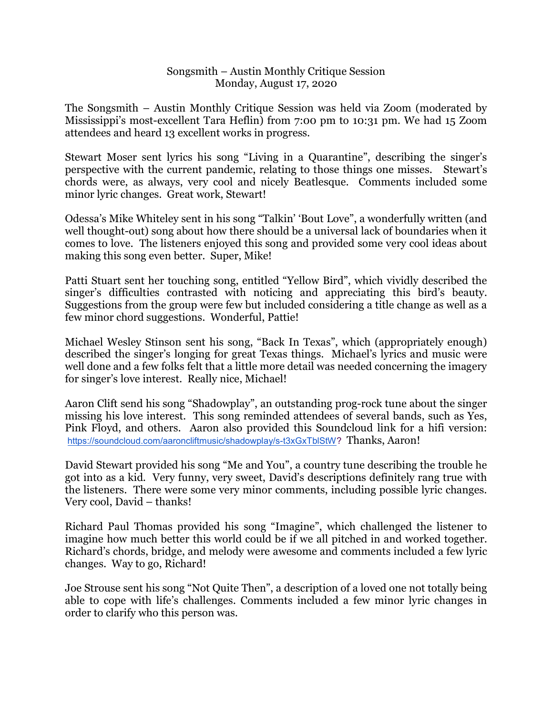## Songsmith – Austin Monthly Critique Session Monday, August 17, 2020

The Songsmith – Austin Monthly Critique Session was held via Zoom (moderated by Mississippi's most-excellent Tara Heflin) from 7:00 pm to 10:31 pm. We had 15 Zoom attendees and heard 13 excellent works in progress.

Stewart Moser sent lyrics his song "Living in a Quarantine", describing the singer's perspective with the current pandemic, relating to those things one misses. Stewart's chords were, as always, very cool and nicely Beatlesque. Comments included some minor lyric changes. Great work, Stewart!

Odessa's Mike Whiteley sent in his song "Talkin' 'Bout Love", a wonderfully written (and well thought-out) song about how there should be a universal lack of boundaries when it comes to love. The listeners enjoyed this song and provided some very cool ideas about making this song even better. Super, Mike!

Patti Stuart sent her touching song, entitled "Yellow Bird", which vividly described the singer's difficulties contrasted with noticing and appreciating this bird's beauty. Suggestions from the group were few but included considering a title change as well as a few minor chord suggestions. Wonderful, Pattie!

Michael Wesley Stinson sent his song, "Back In Texas", which (appropriately enough) described the singer's longing for great Texas things. Michael's lyrics and music were well done and a few folks felt that a little more detail was needed concerning the imagery for singer's love interest. Really nice, Michael!

Aaron Clift send his song "Shadowplay", an outstanding prog-rock tune about the singer missing his love interest. This song reminded attendees of several bands, such as Yes, Pink Floyd, and others. Aaron also provided this Soundcloud link for a hifi version: https://soundcloud.com/aaroncliftmusic/shadowplay/s-t3xGxTblStW? Thanks, Aaron!

David Stewart provided his song "Me and You", a country tune describing the trouble he got into as a kid. Very funny, very sweet, David's descriptions definitely rang true with the listeners. There were some very minor comments, including possible lyric changes. Very cool, David – thanks!

Richard Paul Thomas provided his song "Imagine", which challenged the listener to imagine how much better this world could be if we all pitched in and worked together. Richard's chords, bridge, and melody were awesome and comments included a few lyric changes. Way to go, Richard!

Joe Strouse sent his song "Not Quite Then", a description of a loved one not totally being able to cope with life's challenges. Comments included a few minor lyric changes in order to clarify who this person was.